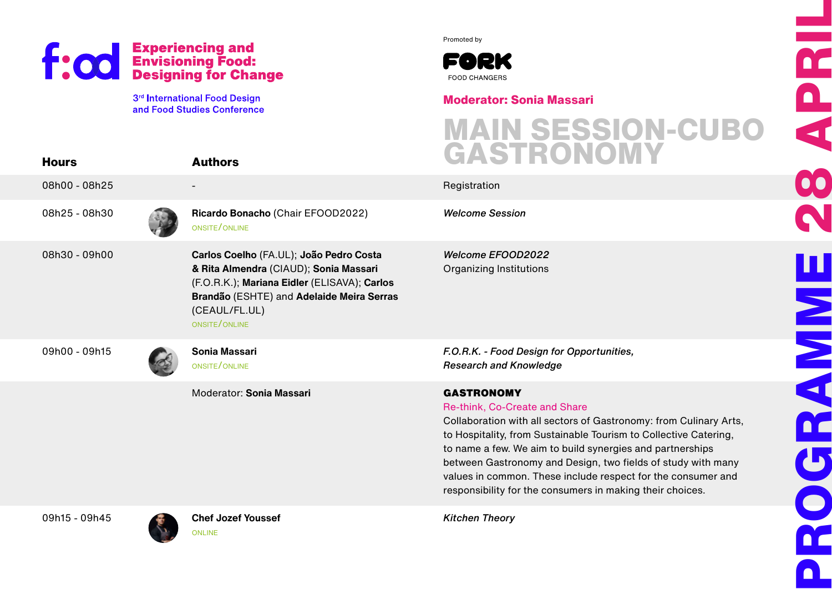



### **Moderator: Sonia Massari**

## **MAIN SESSION-CUBO GASTRONOMY**

|               | <b>f: 00</b> Experiencing and<br>Designing food:<br>Designing for Change                                                                                                                                         | Promoted by<br>FORK<br><b>FOOD CHANGERS</b>                                                                                                                                                                                                                                                                                                                                                                                                           | <b>ACC</b><br>ACC   |
|---------------|------------------------------------------------------------------------------------------------------------------------------------------------------------------------------------------------------------------|-------------------------------------------------------------------------------------------------------------------------------------------------------------------------------------------------------------------------------------------------------------------------------------------------------------------------------------------------------------------------------------------------------------------------------------------------------|---------------------|
| <b>Hours</b>  | 3rd International Food Design<br>and Food Studies Conference<br><b>Authors</b>                                                                                                                                   | <b>Moderator: Sonia Massari</b><br><b>MAIN SESSION-CUBO</b><br>GASTRONOMY                                                                                                                                                                                                                                                                                                                                                                             |                     |
| 08h00 - 08h25 |                                                                                                                                                                                                                  | Registration                                                                                                                                                                                                                                                                                                                                                                                                                                          |                     |
| 08h25 - 08h30 | Ricardo Bonacho (Chair EFOOD2022)<br>ONSITE/ONLINE                                                                                                                                                               | <b>Welcome Session</b>                                                                                                                                                                                                                                                                                                                                                                                                                                |                     |
| 08h30 - 09h00 | Carlos Coelho (FA.UL); João Pedro Costa<br>& Rita Almendra (CIAUD); Sonia Massari<br>(F.O.R.K.); Mariana Eidler (ELISAVA); Carlos<br>Brandão (ESHTE) and Adelaide Meira Serras<br>(CEAUL/FL.UL)<br>ONSITE/ONLINE | Welcome EFOOD2022<br><b>Organizing Institutions</b>                                                                                                                                                                                                                                                                                                                                                                                                   | $\mathbf{u}$<br>MMM |
| 09h00 - 09h15 | Sonia Massari<br>ONSITE/ONLINE                                                                                                                                                                                   | F.O.R.K. - Food Design for Opportunities,<br><b>Research and Knowledge</b>                                                                                                                                                                                                                                                                                                                                                                            |                     |
|               | Moderator: Sonia Massari                                                                                                                                                                                         | <b>GASTRONOMY</b><br>Re-think, Co-Create and Share<br>Collaboration with all sectors of Gastronomy: from Culinary Arts,<br>to Hospitality, from Sustainable Tourism to Collective Catering,<br>to name a few. We aim to build synergies and partnerships<br>between Gastronomy and Design, two fields of study with many<br>values in common. These include respect for the consumer and<br>responsibility for the consumers in making their choices. | r                   |
| 09h15 - 09h45 | <b>Chef Jozef Youssef</b><br><b>ONLINE</b>                                                                                                                                                                       | <b>Kitchen Theory</b>                                                                                                                                                                                                                                                                                                                                                                                                                                 |                     |

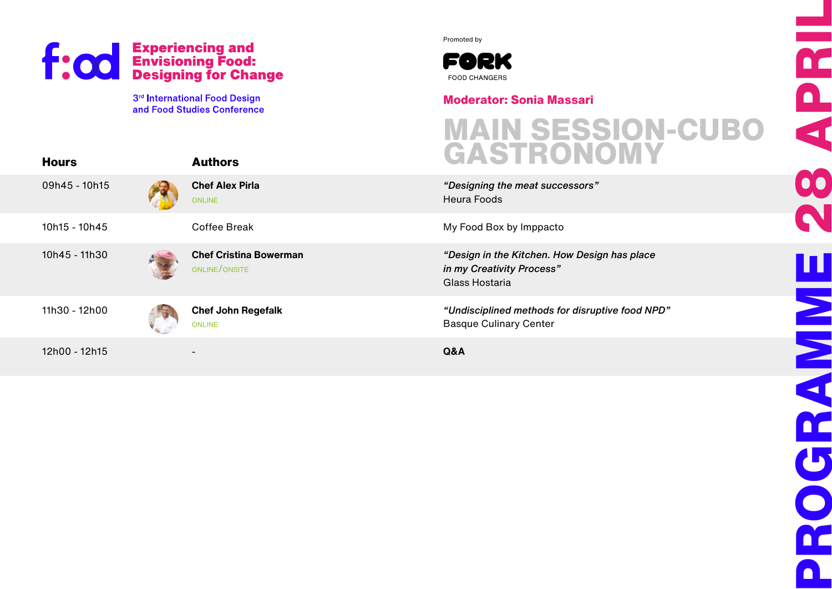3rd International Food Design and Food Studies Conference Promoted by



#### **Moderator: Sonia Massari**

# **MAIN SESSION-CUBO GASTRONOMY**

*"Design in the Kitchen. How Design has place* 

*"Undisciplined methods for disruptive food NPD"* Basque Culinary Center

| <b>Hours</b>  | <b>Authors</b>                                 | <b>GASTRUNUN</b>                                                                        |
|---------------|------------------------------------------------|-----------------------------------------------------------------------------------------|
| 09h45 - 10h15 | <b>Chef Alex Pirla</b><br><b>ONLINE</b>        | "Designing the meat successors"<br>Heura Foods                                          |
| 10h15 - 10h45 | Coffee Break                                   | My Food Box by Imppacto                                                                 |
| 10h45 - 11h30 | <b>Chef Cristina Bowerman</b><br>ONLINE/ONSITE | "Design in the Kitchen. How Design has p<br>in my Creativity Process"<br>Glass Hostaria |
| 11h30 - 12h00 | <b>Chef John Regefalk</b><br><b>ONLINE</b>     | "Undisciplined methods for disruptive foc<br><b>Basque Culinary Center</b>              |
| 12h00 - 12h15 |                                                | Q&A                                                                                     |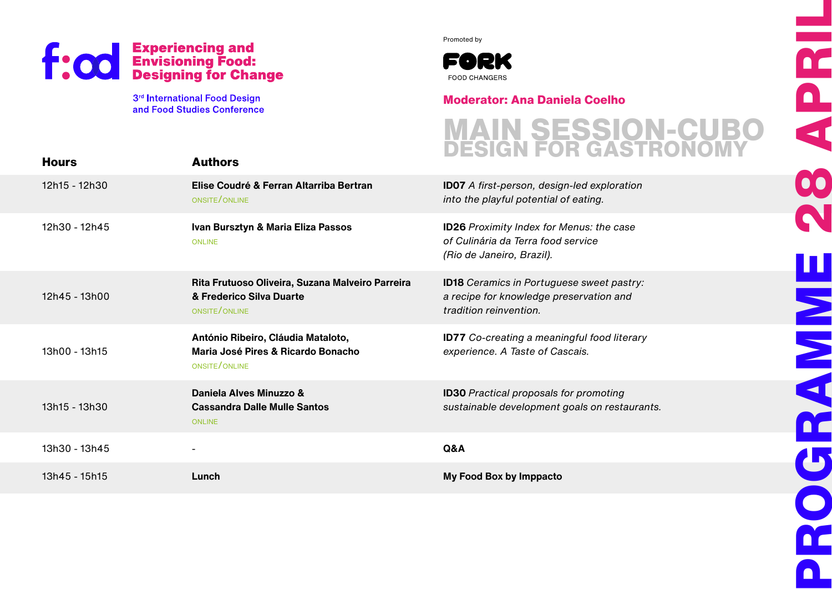3<sup>rd</sup> International Food Design and Food Studies Conference Promoted by



### **Moderator: Ana Daniela Coelho**

## **MAIN SESSION-CUBO DESIGN FOR GASTRONOMY**

| <b>Hours</b>  | <b>Authors</b>                                                                                |                                                                                                                       |
|---------------|-----------------------------------------------------------------------------------------------|-----------------------------------------------------------------------------------------------------------------------|
| 12h15 - 12h30 | Elise Coudré & Ferran Altarriba Bertran<br>ONSITE/ONLINE                                      | <b>ID07</b> A first-person, design-led exploration<br>into the playful potential of eating.                           |
| 12h30 - 12h45 | Ivan Bursztyn & Maria Eliza Passos<br><b>ONLINE</b>                                           | <b>ID26</b> Proximity Index for Menus: the case<br>of Culinária da Terra food service<br>(Rio de Janeiro, Brazil).    |
| 12h45 - 13h00 | Rita Frutuoso Oliveira, Suzana Malveiro Parreira<br>& Frederico Silva Duarte<br>ONSITE/ONLINE | <b>ID18</b> Ceramics in Portuguese sweet pastry:<br>a recipe for knowledge preservation and<br>tradition reinvention. |
| 13h00 - 13h15 | António Ribeiro, Cláudia Mataloto,<br>Maria José Pires & Ricardo Bonacho<br>ONSITE/ONLINE     | <b>ID77</b> Co-creating a meaningful food literary<br>experience. A Taste of Cascais.                                 |
| 13h15 - 13h30 | Daniela Alves Minuzzo &<br><b>Cassandra Dalle Mulle Santos</b><br><b>ONLINE</b>               | <b>ID30</b> Practical proposals for promoting<br>sustainable development goals on restaurants.                        |
| 13h30 - 13h45 | $\overline{\phantom{a}}$                                                                      | Q&A                                                                                                                   |
| 13h45 - 15h15 | Lunch                                                                                         | My Food Box by Imppacto                                                                                               |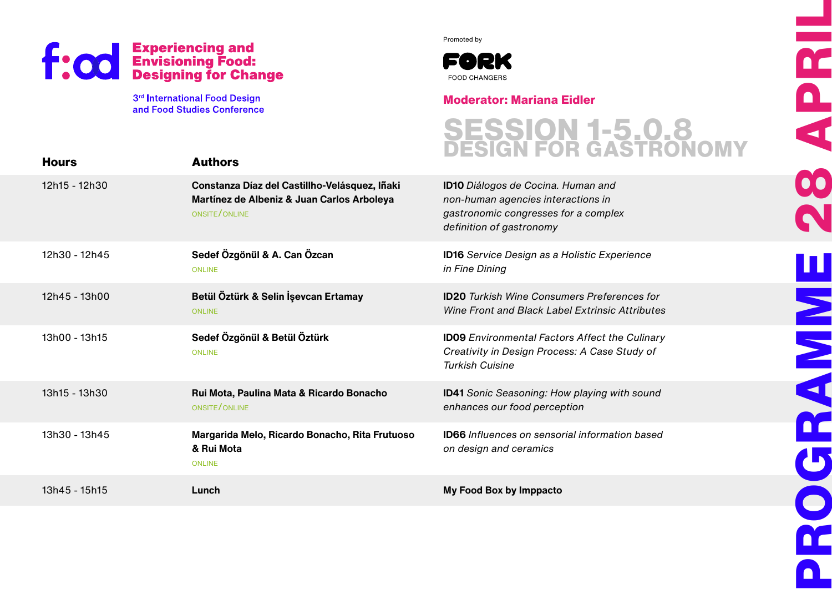3<sup>rd</sup> International Food Design and Food Studies Conference Promoted by



#### **Moderator: Mariana Eidler**

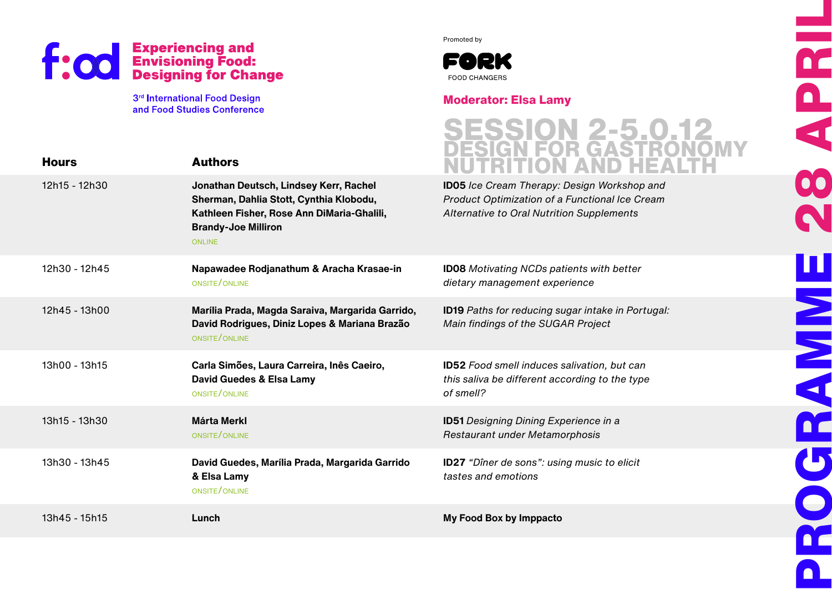3<sup>rd</sup> International Food Design and Food Studies Conference Promoted by



#### **Moderator: Elsa Lamy**

**PROGRAMME 28 APRIL**

**HISK** 

 $\overline{\mathbf{b}}$ 

 $\bigcirc$ 

DC

n I

h<br>D

E

8

N

| <b>Hours</b>  | <b>Authors</b>                                                                                                                                                                 | ESSION 2-5.0.1<br>ESIGN FOR GASTRON                                                                                                               |
|---------------|--------------------------------------------------------------------------------------------------------------------------------------------------------------------------------|---------------------------------------------------------------------------------------------------------------------------------------------------|
| 12h15 - 12h30 | Jonathan Deutsch, Lindsey Kerr, Rachel<br>Sherman, Dahlia Stott, Cynthia Klobodu,<br>Kathleen Fisher, Rose Ann DiMaria-Ghalili,<br><b>Brandy-Joe Milliron</b><br><b>ONLINE</b> | <b>ID05</b> Ice Cream Therapy: Design Workshop and<br>Product Optimization of a Functional Ice Cream<br>Alternative to Oral Nutrition Supplements |
| 12h30 - 12h45 | Napawadee Rodjanathum & Aracha Krasae-in<br>ONSITE/ONLINE                                                                                                                      | <b>ID08</b> Motivating NCDs patients with better<br>dietary management experience                                                                 |
| 12h45 - 13h00 | Marília Prada, Magda Saraiva, Margarida Garrido,<br>David Rodrigues, Diniz Lopes & Mariana Brazão<br>ONSITE/ONLINE                                                             | ID19 Paths for reducing sugar intake in Portugal:<br>Main findings of the SUGAR Project                                                           |
| 13h00 - 13h15 | Carla Simões, Laura Carreira, Inês Caeiro,<br>David Guedes & Elsa Lamy<br>ONSITE/ONLINE                                                                                        | <b>ID52</b> Food smell induces salivation, but can<br>this saliva be different according to the type<br>of smell?                                 |
| 13h15 - 13h30 | <b>Márta Merkl</b><br>ONSITE/ONLINE                                                                                                                                            | <b>ID51</b> Designing Dining Experience in a<br>Restaurant under Metamorphosis                                                                    |
| 13h30 - 13h45 | David Guedes, Marília Prada, Margarida Garrido<br>& Elsa Lamy<br>ONSITE/ONLINE                                                                                                 | <b>ID27</b> "Dîner de sons": using music to elicit<br>tastes and emotions                                                                         |
| 13h45 - 15h15 | Lunch                                                                                                                                                                          | My Food Box by Imppacto                                                                                                                           |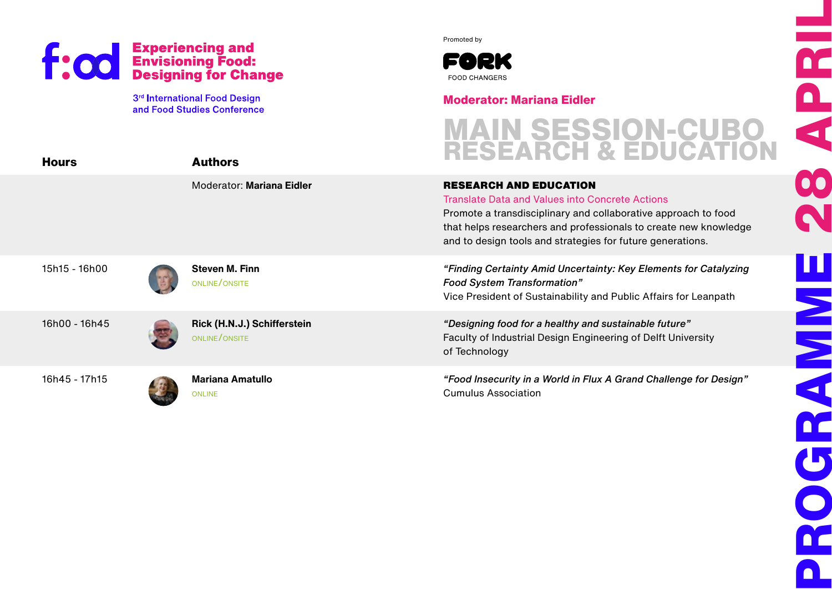3<sup>rd</sup> International Food Design and Food Studies Conference Promoted by



#### **Moderator: Mariana Eidler**

RESEARCH AND EDUCATION

Translate Data and Values into Concrete Actions

## **MAIN SESSION-CUBO RESEARCH & EDUCATION**

15h15 - 16h00

**Hours**

**Steven M. Finn**  online/onsite

**Authors**

16h00 - 16h45

**Rick (H.N.J.) Schifferstein** online/onsite

Moderator: **Mariana Eidler**

16h45 - 17h15



and to design tools and strategies for future generations. *"Finding Certainty Amid Uncertainty: Key Elements for Catalyzing Food System Transformation"*

Vice President of Sustainability and Public Affairs for Leanpath

Promote a transdisciplinary and collaborative approach to food that helps researchers and professionals to create new knowledge

*"Designing food for a healthy and sustainable future"* Faculty of Industrial Design Engineering of Delft University of Technology

*"Food Insecurity in a World in Flux A Grand Challenge for Design"* Cumulus Association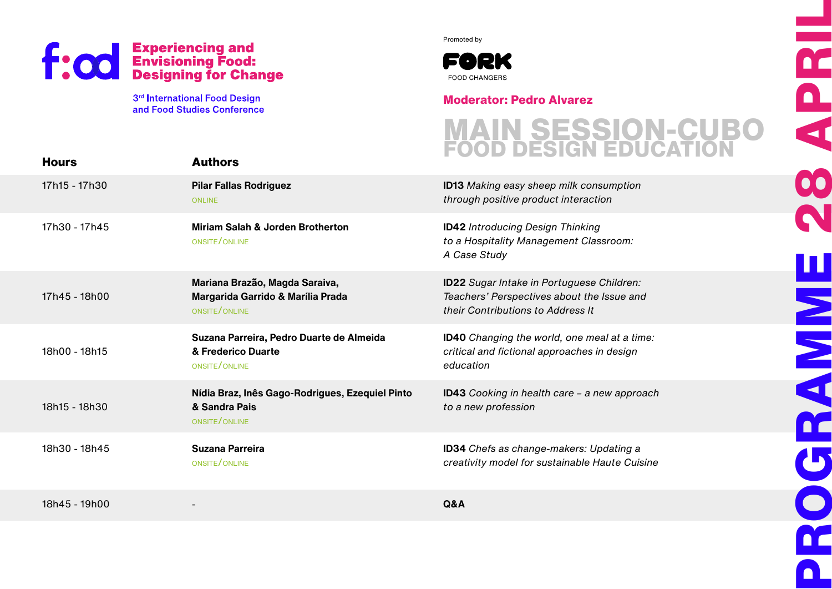3<sup>rd</sup> International Food Design and Food Studies Conference Promoted by



#### **Moderator: Pedro Alvarez**

## **MAIN SESSION-CUBO FOOD DESIGN EDUCATION**

**PROGRAMME 28 APRIL**

**HISPER** 

DC.

U

 $\bullet$ 

 $\blacksquare$ 

DC

 $\overline{\mathbf{a}}$ 

 $\overline{\mathbf{A}}$ 

00

| <b>Hours</b>  | <b>Authors</b>                                                                       |                                                                                                                                     |
|---------------|--------------------------------------------------------------------------------------|-------------------------------------------------------------------------------------------------------------------------------------|
| 17h15 - 17h30 | <b>Pilar Fallas Rodriguez</b><br><b>ONLINE</b>                                       | <b>ID13</b> Making easy sheep milk consumption<br>through positive product interaction                                              |
| 17h30 - 17h45 | Miriam Salah & Jorden Brotherton<br>ONSITE/ONLINE                                    | <b>ID42</b> Introducing Design Thinking<br>to a Hospitality Management Classroom:<br>A Case Study                                   |
| 17h45 - 18h00 | Mariana Brazão, Magda Saraiva,<br>Margarida Garrido & Marília Prada<br>ONSITE/ONLINE | <b>ID22</b> Sugar Intake in Portuguese Children:<br>Teachers' Perspectives about the Issue and<br>their Contributions to Address It |
| 18h00 - 18h15 | Suzana Parreira, Pedro Duarte de Almeida<br>& Frederico Duarte<br>ONSITE/ONLINE      | ID40 Changing the world, one meal at a time:<br>critical and fictional approaches in design<br>education                            |
| 18h15 - 18h30 | Nídia Braz, Inês Gago-Rodrigues, Ezequiel Pinto<br>& Sandra Pais<br>ONSITE/ONLINE    | <b>ID43</b> Cooking in health care - a new approach<br>to a new profession                                                          |
| 18h30 - 18h45 | <b>Suzana Parreira</b><br>ONSITE/ONLINE                                              | ID34 Chefs as change-makers: Updating a<br>creativity model for sustainable Haute Cuisine                                           |
| 18h45 - 19h00 |                                                                                      | Q&A                                                                                                                                 |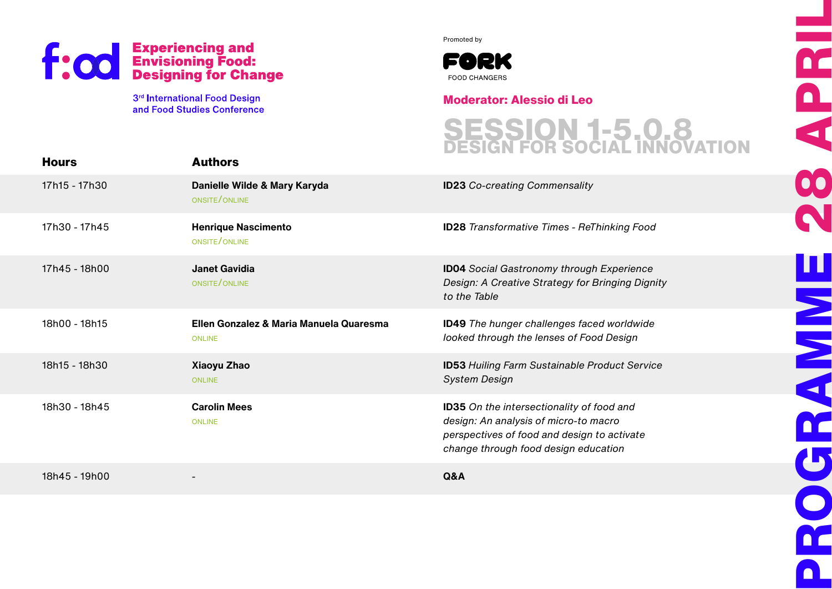

Promoted by



**Moderator: Alessio di Leo**

**Hours** 17h15 - 17h30 17h30 - 17h45 17h45 - 18h00 18h00 - 18h15 18h15 - 18h30 18h30 - 18h45 18h45 - 19h00 **Authors Danielle Wilde & Mary Karyda** onsite/online **Henrique Nascimento**  onsite/online **Janet Gavidia** onsite/online **Ellen Gonzalez & Maria Manuela Quaresma** online **Xiaoyu Zhao** online **Carolin Mees** online - **ID23** Co-creating Commensality **ID28** Transformative Times - ReThinking Food **ID04** Social Gastronomy through Experience Design: A Creative Strategy for Bringing Dignity to the Table **ID49** The hunger challenges faced worldwide looked through the lenses of Food Design **ID53** Huiling Farm Sustainable Product Service System Design **ID35** On the intersectionality of food and design: An analysis of micro-to macro perspectives of food and design to activate change through food design education **Q&A SESSION 1-5.0.8 DESIGN FOR SOCIAL INNOVATION**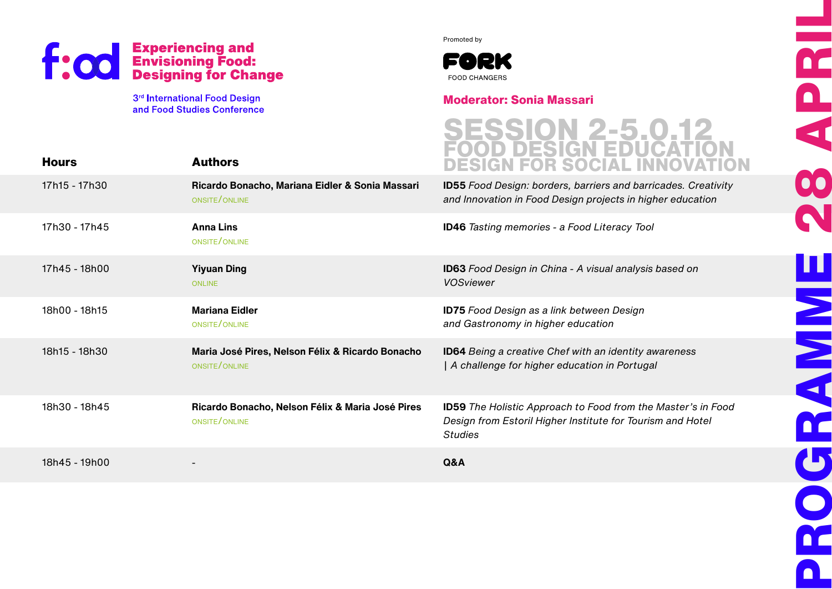

**Hours**

3rd International Food Design and Food Studies Conference

**Authors**

Promoted by



#### **Moderator: Sonia Massari**



|               |                                                                   | DESIGN FUN SUURL                                                                                                                                    |
|---------------|-------------------------------------------------------------------|-----------------------------------------------------------------------------------------------------------------------------------------------------|
| 17h15 - 17h30 | Ricardo Bonacho, Mariana Eidler & Sonia Massari<br>ONSITE/ONLINE  | <b>ID55</b> Food Design: borders, barriers and barricades. Creativity<br>and Innovation in Food Design projects in higher education                 |
| 17h30 - 17h45 | <b>Anna Lins</b><br>ONSITE/ONLINE                                 | <b>ID46</b> Tasting memories - a Food Literacy Tool                                                                                                 |
| 17h45 - 18h00 | <b>Yiyuan Ding</b><br><b>ONLINE</b>                               | <b>ID63</b> Food Design in China - A visual analysis based on<br><b>VOSviewer</b>                                                                   |
| 18h00 - 18h15 | <b>Mariana Eidler</b><br>ONSITE/ONLINE                            | <b>ID75</b> Food Design as a link between Design<br>and Gastronomy in higher education                                                              |
| 18h15 - 18h30 | Maria José Pires, Nelson Félix & Ricardo Bonacho<br>ONSITE/ONLINE | <b>ID64</b> Being a creative Chef with an identity awareness<br>A challenge for higher education in Portugal                                        |
| 18h30 - 18h45 | Ricardo Bonacho, Nelson Félix & Maria José Pires<br>ONSITE/ONLINE | <b>ID59</b> The Holistic Approach to Food from the Master's in Food<br>Design from Estoril Higher Institute for Tourism and Hotel<br><b>Studies</b> |
| 18h45 - 19h00 |                                                                   | Q&A                                                                                                                                                 |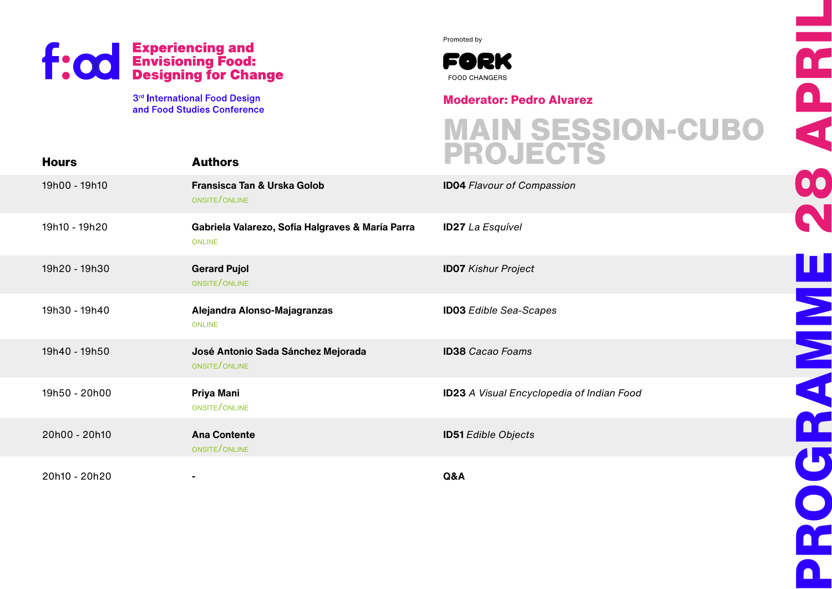

Promoted by



**Moderator: Pedro Alvarez**

| <b>Hours</b>  | <b>Authors</b>                                                    | <b>MAIN SESSION-CUBO<br/>PROJECTS</b>            |
|---------------|-------------------------------------------------------------------|--------------------------------------------------|
| 19h00 - 19h10 | Fransisca Tan & Urska Golob<br>ONSITE/ONLINE                      | <b>ID04 Flavour of Compassion</b>                |
| 19h10 - 19h20 | Gabriela Valarezo, Sofía Halgraves & María Parra<br><b>ONLINE</b> | <b>ID27</b> La Esquível                          |
| 19h20 - 19h30 | <b>Gerard Pujol</b><br>ONSITE/ONLINE                              | <b>ID07</b> Kishur Project                       |
| 19h30 - 19h40 | Alejandra Alonso-Majagranzas<br>ONLINE                            | <b>ID03</b> Edible Sea-Scapes                    |
| 19h40 - 19h50 | José Antonio Sada Sánchez Mejorada<br>ONSITE/ONLINE               | <b>ID38</b> Cacao Foams                          |
| 19h50 - 20h00 | Priya Mani<br>ONSITE/ONLINE                                       | <b>ID23</b> A Visual Encyclopedia of Indian Food |
| 20h00 - 20h10 | <b>Ana Contente</b><br>ONSITE/ONLINE                              | <b>ID51</b> Edible Objects                       |
| 20h10 - 20h20 |                                                                   | Q&A                                              |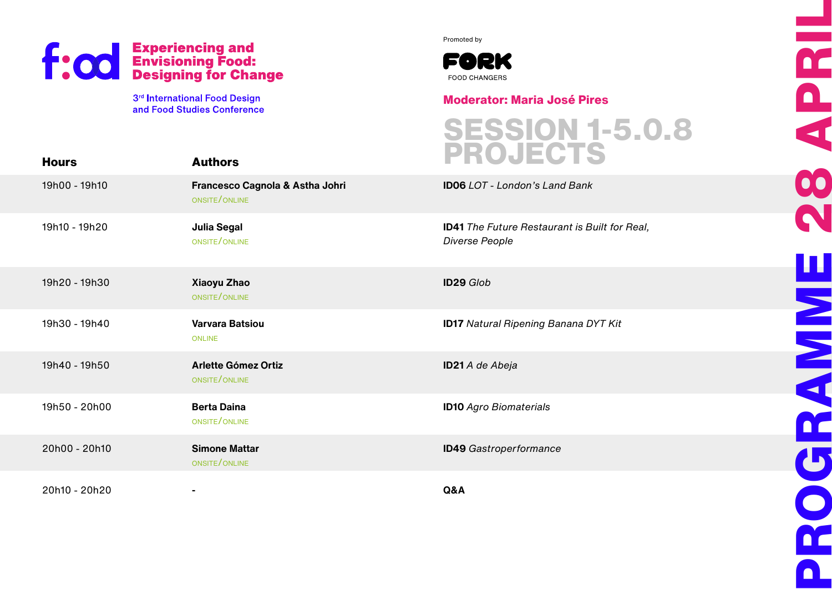

Promoted by



#### **Moderator: Maria José Pires**

| <b>Hours</b>  | <b>Authors</b>                                   | <b>SESSION 1-5.0.8<br/>PROJECTS</b>                                    |
|---------------|--------------------------------------------------|------------------------------------------------------------------------|
| 19h00 - 19h10 | Francesco Cagnola & Astha Johri<br>ONSITE/ONLINE | <b>ID06</b> LOT - London's Land Bank                                   |
| 19h10 - 19h20 | <b>Julia Segal</b><br>ONSITE/ONLINE              | <b>ID41</b> The Future Restaurant is Built for Real,<br>Diverse People |
| 19h20 - 19h30 | Xiaoyu Zhao<br>ONSITE/ONLINE                     | <b>ID29 Glob</b>                                                       |
| 19h30 - 19h40 | Varvara Batsiou<br><b>ONLINE</b>                 | <b>ID17</b> Natural Ripening Banana DYT Kit                            |
| 19h40 - 19h50 | <b>Arlette Gómez Ortiz</b><br>ONSITE/ONLINE      | ID21 A de Abeja                                                        |
| 19h50 - 20h00 | <b>Berta Daina</b><br>ONSITE/ONLINE              | <b>ID10</b> Agro Biomaterials                                          |
| 20h00 - 20h10 | <b>Simone Mattar</b><br>ONSITE/ONLINE            | <b>ID49</b> Gastroperformance                                          |
| 20h10 - 20h20 |                                                  | Q&A                                                                    |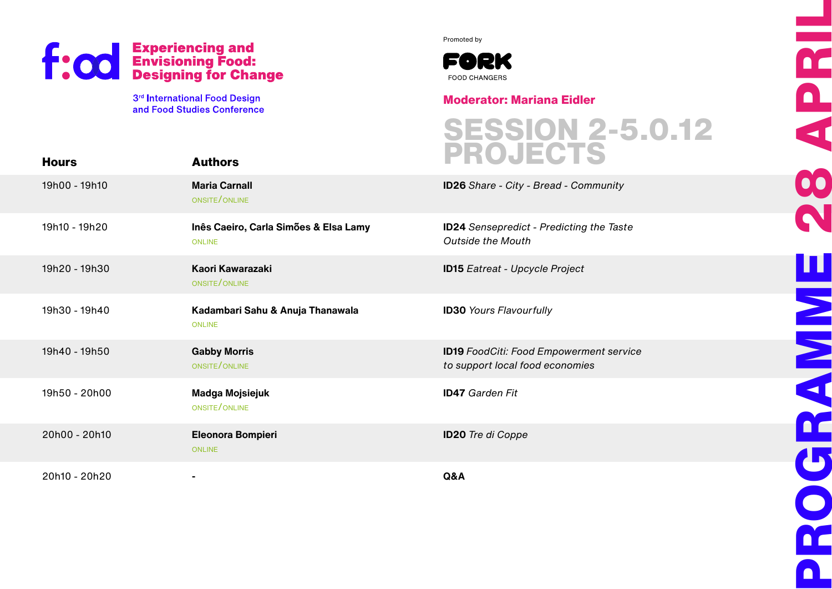

Promoted by



### **Moderator: Mariana Eidler**

**Hours** 19h00 - 19h10 19h10 - 19h20 19h20 - 19h30 19h30 - 19h40 19h40 - 19h50 19h50 - 20h00 20h00 - 20h10 20h10 - 20h20 **Authors Maria Carnall** onsite/online **Inês Caeiro, Carla Simões & Elsa Lamy ONLINE Kaori Kawarazaki** onsite/online **Kadambari Sahu & Anuja Thanawala** online **Gabby Morris** onsite/online **Madga Mojsiejuk** onsite/online **Eleonora Bompieri ONLINE - ID26** Share - City - Bread - Community **ID24** Sensepredict - Predicting the Taste Outside the Mouth **ID15** Eatreat - Upcycle Project **ID30** Yours Flavourfully **ID19** FoodCiti: Food Empowerment service to support local food economies **ID47** Garden Fit **ID20** Tre di Coppe **Q&A SESSION 2-5.0.12 PROJECTS**

**PROGRAMME 28 APRIL** No.<br>No.<br>No. 00 **HANNA** 500 DC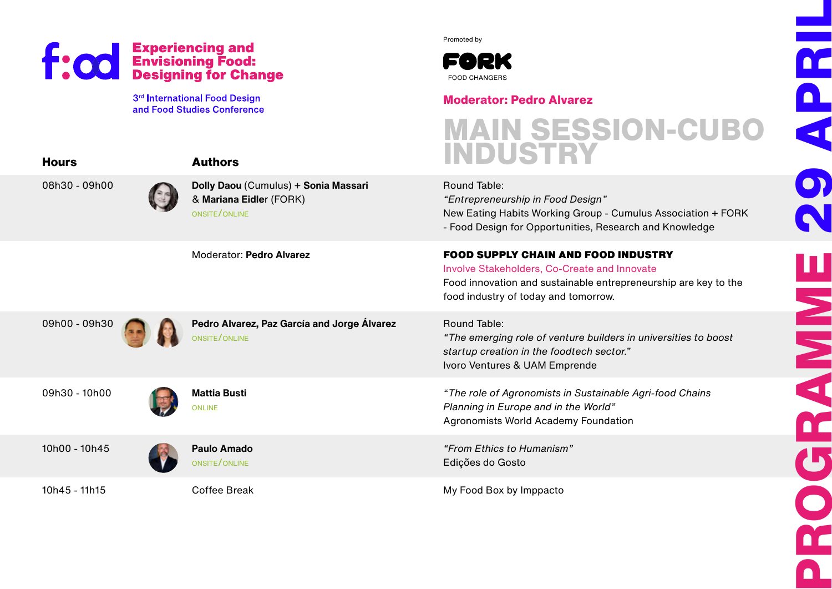**Hours**

08h30 -

09h00 -

09h30 -

 $10h00 -$ 

10 $h45 -$ 

3rd International Food Design and Food Studies Conference Promoted by



#### **Moderator: Pedro Alvarez**

|       | <b>Authors</b>                                                                   | <b>MAIN SESSION-CUBO<br/>INDUSTRY</b>                                                                                                                                                                        |
|-------|----------------------------------------------------------------------------------|--------------------------------------------------------------------------------------------------------------------------------------------------------------------------------------------------------------|
| 09h00 | Dolly Daou (Cumulus) + Sonia Massari<br>& Mariana Eidler (FORK)<br>ONSITE/ONLINE | Round Table:<br>"Entrepreneurship in Food Design"<br>New Eating Habits Working Group - Cumulus Association + FORK<br>- Food Design for Opportunities, Research and Knowledge                                 |
|       | Moderator: Pedro Alvarez                                                         | <b>FOOD SUPPLY CHAIN AND FOOD INDUSTRY</b><br><b>Involve Stakeholders, Co-Create and Innovate</b><br>Food innovation and sustainable entrepreneurship are key to the<br>food industry of today and tomorrow. |
| 09h30 | Pedro Alvarez, Paz García and Jorge Álvarez<br>ONSITE/ONLINE                     | Round Table:<br>"The emerging role of venture builders in universities to boost<br>startup creation in the foodtech sector."<br>Ivoro Ventures & UAM Emprende                                                |
| 10h00 | <b>Mattia Busti</b><br><b>ONLINE</b>                                             | "The role of Agronomists in Sustainable Agri-food Chains<br>Planning in Europe and in the World"<br>Agronomists World Academy Foundation                                                                     |
| 10h45 | <b>Paulo Amado</b><br>ONSITE/ONLINE                                              | "From Ethics to Humanism"<br>Edições do Gosto                                                                                                                                                                |
| 11h15 | <b>Coffee Break</b>                                                              | My Food Box by Imppacto                                                                                                                                                                                      |

**PROGRAMME 29 APRIL** DC  $\blacksquare$ 41  $\mathbf{O}$ N H N N N DC. U  $\bullet$ DC  $\blacksquare$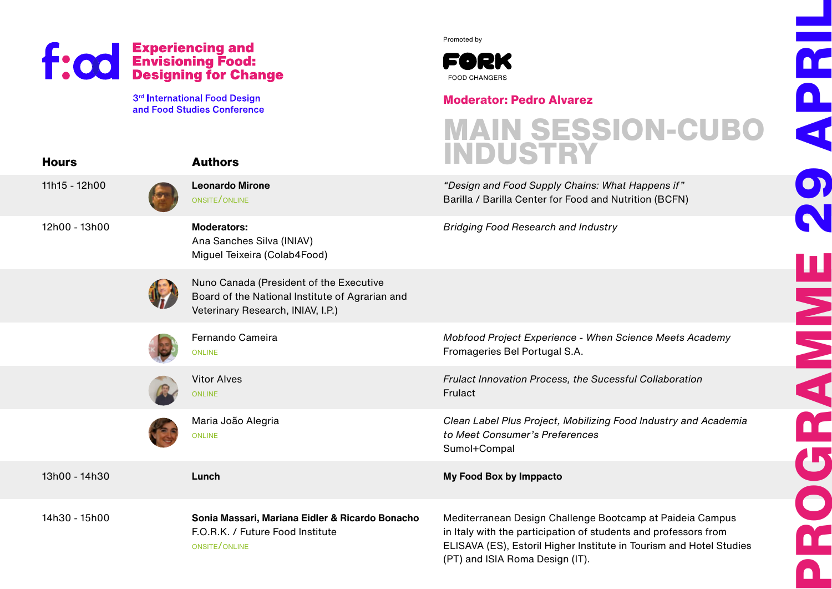**Hours**

3<sup>rd</sup> International Food Design and Food Studies Conference Promoted by



#### **Moderator: Pedro Alvarez**

(PT) and ISIA Roma Design (IT).



**PROGRAMME 29 APRIL**

**HAVEN** 

DOC

D<br>Q<br>Q

11h15 - 12h00 12h00 - 13h00 13h00 - 14h30 14h30 - 15h00 **Authors Leonardo Mirone** onsite/online **Moderators:** Ana Sanches Silva (INIAV) Miguel Teixeira (Colab4Food) Nuno Canada (President of the Executive Board of the National Institute of Agrarian and Veterinary Research, INIAV, I.P.) Fernando Cameira **ONLINE** Vitor Alves **ONLINE** Maria João Alegria **ONLINE Lunch Sonia Massari, Mariana Eidler & Ricardo Bonacho** F.O.R.K. / Future Food Institute onsite/online "Design and Food Supply Chains: What Happens if" Barilla / Barilla Center for Food and Nutrition (BCFN) Bridging Food Research and Industry Mobfood Project Experience - When Science Meets Academy Fromageries Bel Portugal S.A. Frulact Innovation Process, the Sucessful Collaboration Frulact Clean Label Plus Project, Mobilizing Food Industry and Academia to Meet Consumer's Preferences Sumol+Compal **My Food Box by Imppacto** Mediterranean Design Challenge Bootcamp at Paideia Campus in Italy with the participation of students and professors from ELISAVA (ES), Estoril Higher Institute in Tourism and Hotel Studies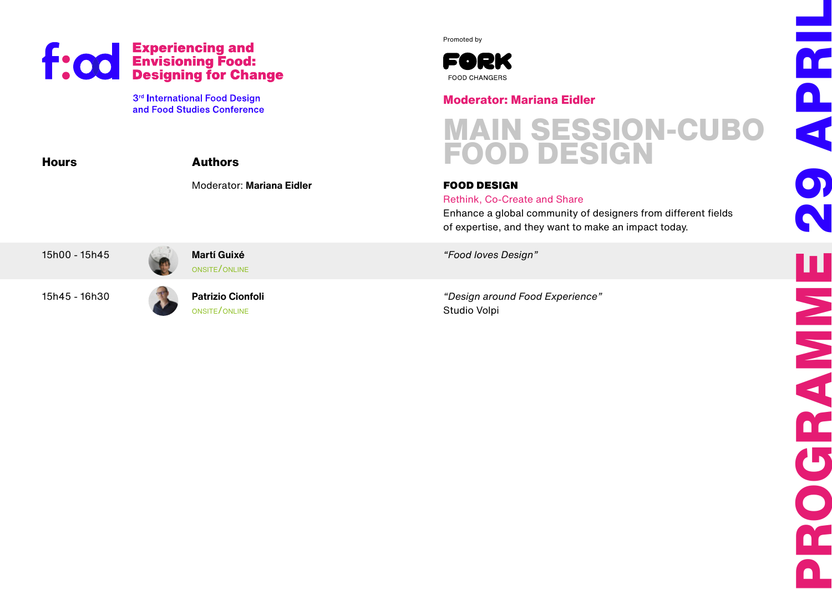

**Hours**



Promoted by



### **Moderator: Mariana Eidler**

# **MAIN SESSION-CUBO FOOD DESIGN**

#### FOOD DESIGN

#### Rethink, Co-Create and Share

Enhance a global community of designers from different fields of expertise, and they want to make an impact today.

15h00 - 15h45

15h45 - 16h30

**Patrizio Cionfoli** onsite/online

**Martí Guixé**  onsite/online "Food loves Design"

"Design around Food Experience" Studio Volpi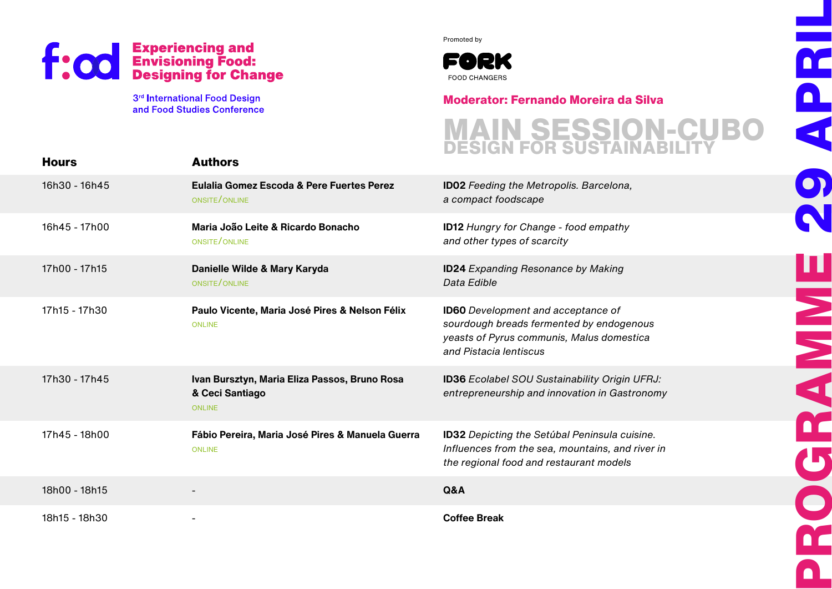3rd International Food Design and Food Studies Conference Promoted by



### **Moderator: Fernando Moreira da Silva**

### **MAIN SESSION-CUBO DESIGN FOR SUSTAINABILITY**

**PROGRAMME 29 APRIL**

**SIMBO** 

<u>n</u>

 $\bullet$ 

DE

DC

<u>n</u>

 $\blacktriangleleft$ 

| <b>Hours</b>  | <b>Authors</b>                                                                    |                                                                                                                                                              |
|---------------|-----------------------------------------------------------------------------------|--------------------------------------------------------------------------------------------------------------------------------------------------------------|
| 16h30 - 16h45 | Eulalia Gomez Escoda & Pere Fuertes Perez<br>ONSITE/ONLINE                        | <b>ID02</b> Feeding the Metropolis. Barcelona,<br>a compact foodscape                                                                                        |
| 16h45 - 17h00 | Maria João Leite & Ricardo Bonacho<br>ONSITE/ONLINE                               | <b>ID12 Hungry for Change - food empathy</b><br>and other types of scarcity                                                                                  |
| 17h00 - 17h15 | Danielle Wilde & Mary Karyda<br>ONSITE/ONLINE                                     | <b>ID24</b> Expanding Resonance by Making<br>Data Edible                                                                                                     |
| 17h15 - 17h30 | Paulo Vicente, Maria José Pires & Nelson Félix<br><b>ONLINE</b>                   | <b>ID60</b> Development and acceptance of<br>sourdough breads fermented by endogenous<br>yeasts of Pyrus communis, Malus domestica<br>and Pistacia lentiscus |
| 17h30 - 17h45 | Ivan Bursztyn, Maria Eliza Passos, Bruno Rosa<br>& Ceci Santiago<br><b>ONLINE</b> | <b>ID36</b> Ecolabel SOU Sustainability Origin UFRJ:<br>entrepreneurship and innovation in Gastronomy                                                        |
| 17h45 - 18h00 | Fábio Pereira, Maria José Pires & Manuela Guerra<br><b>ONLINE</b>                 | ID32 Depicting the Setúbal Peninsula cuisine.<br>Influences from the sea, mountains, and river in<br>the regional food and restaurant models                 |
| 18h00 - 18h15 |                                                                                   | Q&A                                                                                                                                                          |
| 18h15 - 18h30 |                                                                                   | <b>Coffee Break</b>                                                                                                                                          |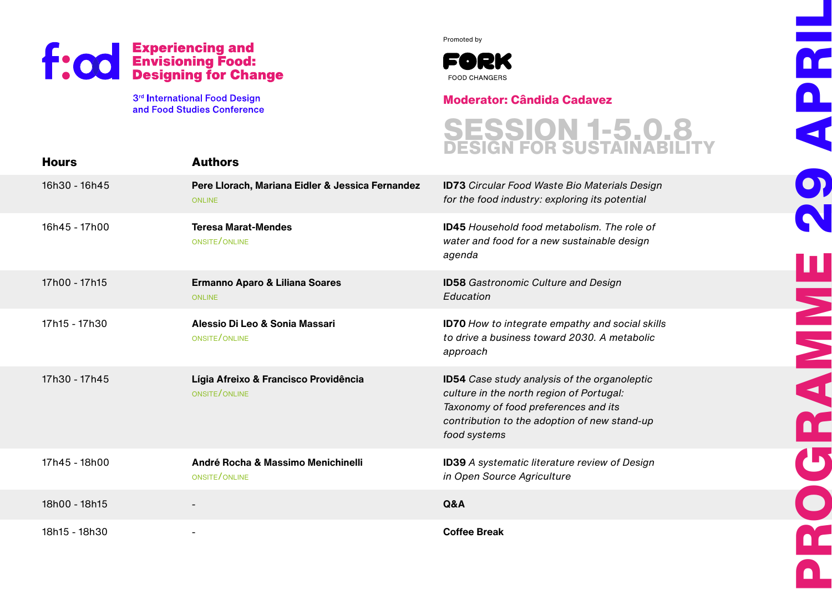3rd International Food Design and Food Studies Conference Promoted by



#### **Moderator: Cândida Cadavez**

**SESSION 1-5.0.8 DESIGN FOR SUSTAINABILITY** **PROGRAMME 29 APRIL**

**MARK** 

DC

 $\mathbf{U}$ 

 $\bullet$ 

DC.

 $\mathbf{\Omega}$ 

 $\blacktriangleleft$ 

 $\bullet$ 

| <b>Hours</b>  | <b>Authors</b>                                                    |                                                                                                                                                                                                         |
|---------------|-------------------------------------------------------------------|---------------------------------------------------------------------------------------------------------------------------------------------------------------------------------------------------------|
| 16h30 - 16h45 | Pere Llorach, Mariana Eidler & Jessica Fernandez<br><b>ONLINE</b> | <b>ID73</b> Circular Food Waste Bio Materials Design<br>for the food industry: exploring its potential                                                                                                  |
| 16h45 - 17h00 | <b>Teresa Marat-Mendes</b><br>ONSITE/ONLINE                       | <b>ID45</b> Household food metabolism. The role of<br>water and food for a new sustainable design<br>agenda                                                                                             |
| 17h00 - 17h15 | Ermanno Aparo & Liliana Soares<br><b>ONLINE</b>                   | <b>ID58</b> Gastronomic Culture and Design<br>Education                                                                                                                                                 |
| 17h15 - 17h30 | Alessio Di Leo & Sonia Massari<br>ONSITE/ONLINE                   | <b>ID70</b> How to integrate empathy and social skills<br>to drive a business toward 2030. A metabolic<br>approach                                                                                      |
| 17h30 - 17h45 | Lígia Afreixo & Francisco Providência<br>ONSITE/ONLINE            | <b>ID54</b> Case study analysis of the organoleptic<br>culture in the north region of Portugal:<br>Taxonomy of food preferences and its<br>contribution to the adoption of new stand-up<br>food systems |
| 17h45 - 18h00 | André Rocha & Massimo Menichinelli<br>ONSITE/ONLINE               | ID39 A systematic literature review of Design<br>in Open Source Agriculture                                                                                                                             |
| 18h00 - 18h15 |                                                                   | Q&A                                                                                                                                                                                                     |
| 18h15 - 18h30 |                                                                   | <b>Coffee Break</b>                                                                                                                                                                                     |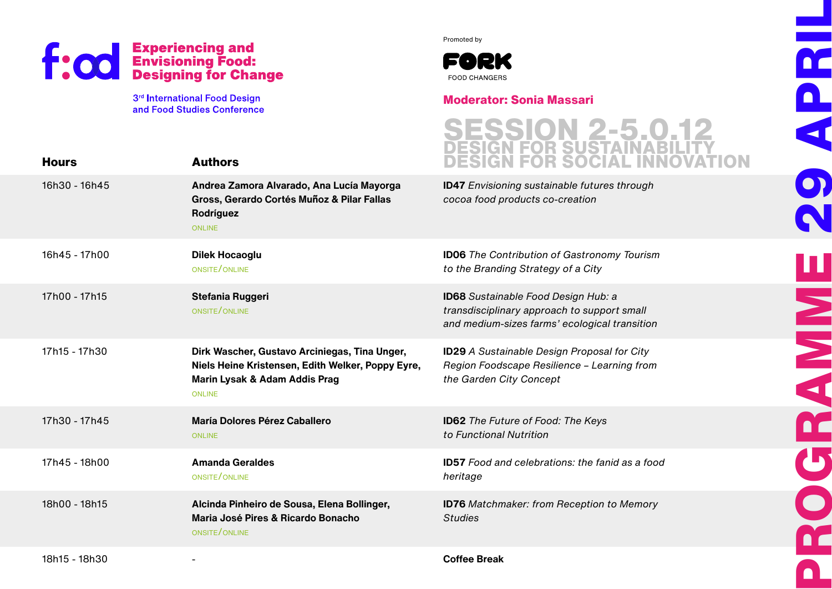

-

**Authors**

**Andrea Zamora Alvarado, Ana Lucía Mayorga** 

Promoted by



#### **Moderator: Sonia Massari**

### **SESSION 2-5.0.12 DESIGN FOR SUSTAINABILITY DESIGN FOR SOCIAL INNOVATION**

**PROGRAMME 29 APRIL**

**SPACE** 

n.

 $\mathbf{b}$ 

 $\bullet$ 

DE

DC.

<u>n</u>

 $\blacktriangleleft$ 

 $\bullet$ 

**ID47** Envisioning sustainable futures through

|               | Gross, Gerardo Cortés Muñoz & Pilar Fallas<br>Rodríguez<br><b>ONLINE</b>                                                                             | cocoa food products co-creation                                                                                                            |
|---------------|------------------------------------------------------------------------------------------------------------------------------------------------------|--------------------------------------------------------------------------------------------------------------------------------------------|
| 16h45 - 17h00 | <b>Dilek Hocaoglu</b><br>ONSITE/ONLINE                                                                                                               | <b>ID06</b> The Contribution of Gastronomy Tourism<br>to the Branding Strategy of a City                                                   |
| 17h00 - 17h15 | Stefania Ruggeri<br>ONSITE/ONLINE                                                                                                                    | <b>ID68</b> Sustainable Food Design Hub: a<br>transdisciplinary approach to support small<br>and medium-sizes farms' ecological transition |
| 17h15 - 17h30 | Dirk Wascher, Gustavo Arciniegas, Tina Unger,<br>Niels Heine Kristensen, Edith Welker, Poppy Eyre,<br>Marin Lysak & Adam Addis Prag<br><b>ONLINE</b> | <b>ID29</b> A Sustainable Design Proposal for City<br>Region Foodscape Resilience - Learning from<br>the Garden City Concept               |
| 17h30 - 17h45 | María Dolores Pérez Caballero<br><b>ONLINE</b>                                                                                                       | <b>ID62</b> The Future of Food: The Keys<br>to Functional Nutrition                                                                        |
| 17h45 - 18h00 | <b>Amanda Geraldes</b><br>ONSITE/ONLINE                                                                                                              | <b>ID57</b> Food and celebrations: the fanid as a food<br>heritage                                                                         |
| 18h00 - 18h15 | Alcinda Pinheiro de Sousa, Elena Bollinger,<br>Maria José Pires & Ricardo Bonacho<br>ONSITE/ONLINE                                                   | <b>ID76</b> Matchmaker: from Reception to Memory<br><b>Studies</b>                                                                         |
|               |                                                                                                                                                      |                                                                                                                                            |

18h15 - 18h30

**Hours**

16h30 - 16h45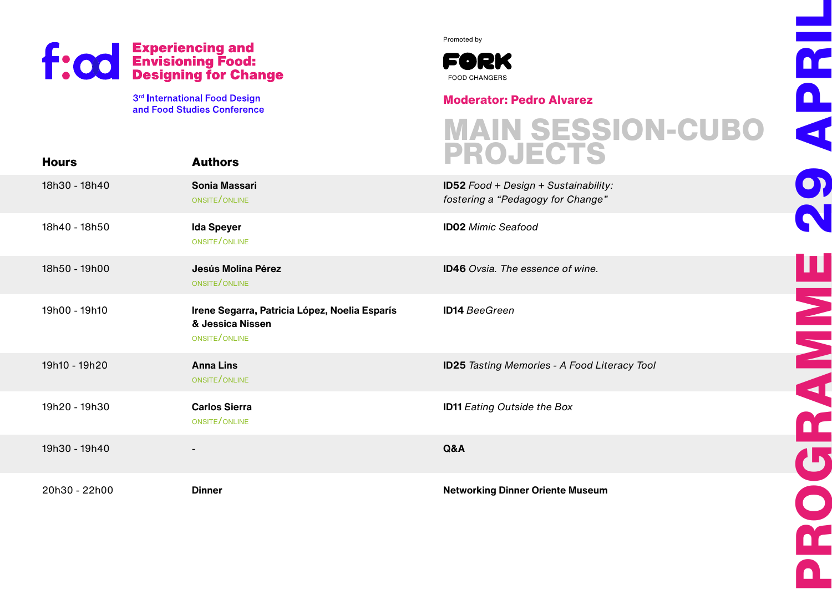**Hours**

3<sup>rd</sup> International Food Design and Food Studies Conference Promoted by



#### **Moderator: Pedro Alvarez**

#### 18h30 - 18h40 18h40 - 18h50 18h50 - 19h00 19h00 - 19h10 19h10 - 19h20 19h20 - 19h30 19h30 - 19h40 20h30 - 22h00 **Authors Sonia Massari** onsite /online **Ida Speyer** onsite /online **Jesús Molina Pérez** onsite /online **Irene Segarra, Patricia López, Noelia Esparís & Jessica Nissen** onsite /online **Anna Lins** onsite /online **Carlos Sierra** onsite /online - **Dinner ID52** Food + Design + Sustainability: fostering a "Pedagogy for Change" **ID02** Mimic Seafood **ID46** Ovsia. The essence of wine. **ID14** BeeGreen **ID25** Tasting Memories - A Food Literacy Tool **ID11** Eating Outside the Box **Q&A Networking Dinner Oriente Museum MAIN SESSION-CUBO PROJECTS**

**PROGRAMME 29 APRIL** D<br>Q<br>Q 9 **HANNE** DC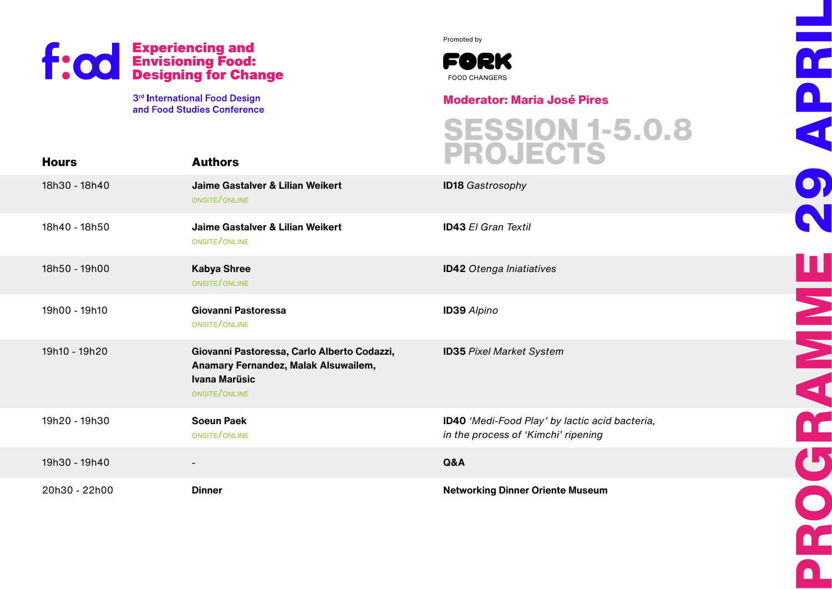

Promoted by



**Moderator: Maria José Pires**

**SESSION 1-5.0.8**

**PROGRAMME 29 APRIL**

**HANNA** 

 $\mathbf{U}$ 

O

DE.

n

DC.

<u>n</u>

4

 $\boxed{\bullet}$ 

| <b>Hours</b>  | <b>Authors</b>                                                                                                               | <b>SESSIUN 1-9.0.8</b><br>PROJECTS                                                    |
|---------------|------------------------------------------------------------------------------------------------------------------------------|---------------------------------------------------------------------------------------|
| 18h30 - 18h40 | Jaime Gastalver & Lilian Weikert<br>ONSITE/ONLINE                                                                            | <b>ID18 Gastrosophy</b>                                                               |
| 18h40 - 18h50 | Jaime Gastalver & Lilian Weikert<br>ONSITE/ONLINE                                                                            | <b>ID43 El Gran Textil</b>                                                            |
| 18h50 - 19h00 | <b>Kabya Shree</b><br>ONSITE/ONLINE                                                                                          | <b>ID42</b> Otenga Iniatiatives                                                       |
| 19h00 - 19h10 | Giovanni Pastoressa<br>ONSITE/ONLINE                                                                                         | <b>ID39</b> Alpino                                                                    |
| 19h10 - 19h20 | Giovanni Pastoressa, Carlo Alberto Codazzi,<br>Anamary Fernandez, Malak Alsuwailem,<br><b>Ivana Marüsic</b><br>ONSITE/ONLINE | <b>ID35 Pixel Market System</b>                                                       |
| 19h20 - 19h30 | <b>Soeun Paek</b><br>ONSITE/ONLINE                                                                                           | ID40 'Medi-Food Play' by lactic acid bacteria,<br>in the process of 'Kimchi' ripening |
| 19h30 - 19h40 | -                                                                                                                            | Q&A                                                                                   |
| 20h30 - 22h00 | <b>Dinner</b>                                                                                                                | <b>Networking Dinner Oriente Museum</b>                                               |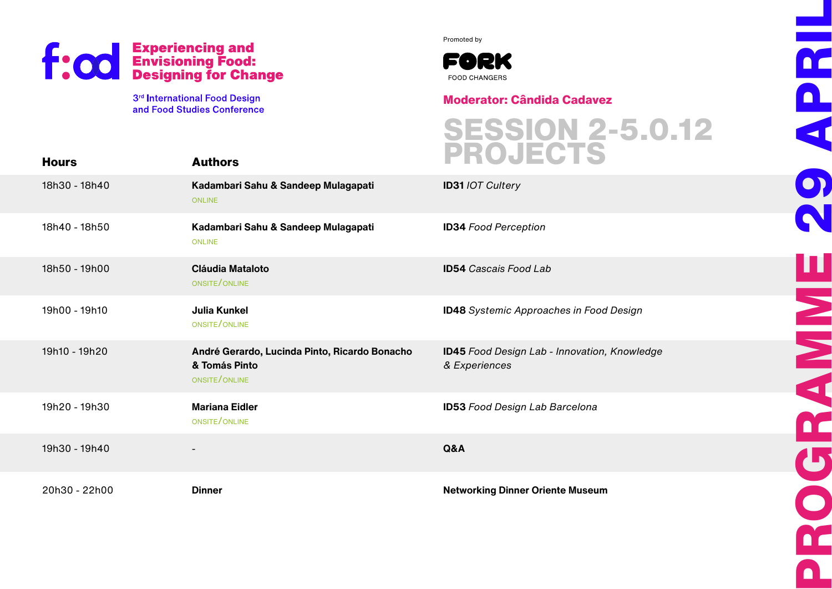

Promoted by



**Moderator: Cândida Cadavez**

| <b>Hours</b>  | <b>Authors</b>                                                                  | <b>SESSION 2-5.0.12<br/>PROJECTS</b>                          |
|---------------|---------------------------------------------------------------------------------|---------------------------------------------------------------|
| 18h30 - 18h40 | Kadambari Sahu & Sandeep Mulagapati<br><b>ONLINE</b>                            | <b>ID31 /OT Cultery</b>                                       |
| 18h40 - 18h50 | Kadambari Sahu & Sandeep Mulagapati<br><b>ONLINE</b>                            | <b>ID34 Food Perception</b>                                   |
| 18h50 - 19h00 | <b>Cláudia Mataloto</b><br>ONSITE/ONLINE                                        | <b>ID54</b> Cascais Food Lab                                  |
| 19h00 - 19h10 | <b>Julia Kunkel</b><br>ONSITE/ONLINE                                            | <b>ID48</b> Systemic Approaches in Food Design                |
| 19h10 - 19h20 | André Gerardo, Lucinda Pinto, Ricardo Bonacho<br>& Tomás Pinto<br>ONSITE/ONLINE | ID45 Food Design Lab - Innovation, Knowledge<br>& Experiences |
| 19h20 - 19h30 | <b>Mariana Eidler</b><br>ONSITE/ONLINE                                          | <b>ID53 Food Design Lab Barcelona</b>                         |
| 19h30 - 19h40 |                                                                                 | Q&A                                                           |
| 20h30 - 22h00 | <b>Dinner</b>                                                                   | <b>Networking Dinner Oriente Museum</b>                       |